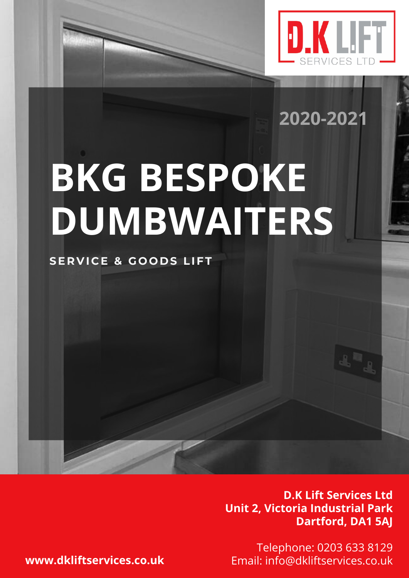

**2020-2021**

# **BKG BESPOKE DUMBWAITERS**

## **SE R V I C E & G O O D S LIFT**

**D.K Lift Services Ltd Unit 2, Victoria Industrial Park Dartford, DA1 5AJ**

Telephone: 0203 633 8129 **www.dkliftservices.co.uk** Email: info@dkliftservices.co.uk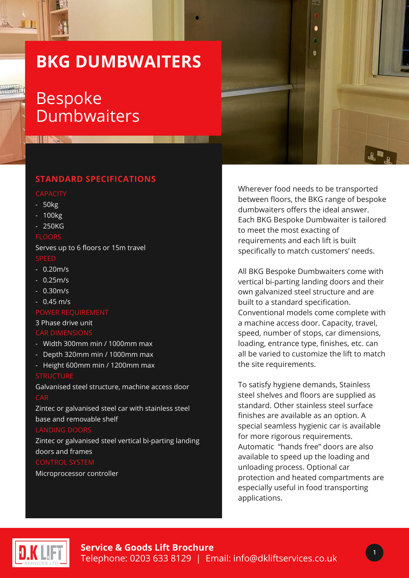## **BKG DUMBWAITERS**

## Bespoke **Dumbwaiters**

## **STANDARD SPECIFICATIONS**

**THE REAL** 

- 50kg
- 100kg
- 250KG

### FLOORS

Serves up to 6 floors or 15m travel

- 0.20m/s
- 0.25m/s
- 0.30m/s
- 0.45 m/s

### 3 Phase drive unit **CAR DIMENSION:**

- Width 300mm min / 1000mm max
- Depth 320mm min / 1000mm max
- Height 600mm min / 1200mm max

### **STRUCTURE**

Galvanised steel structure, machine access door

Zintec or galvanised steel car with stainless steel base and removable shelf

### LANDING DOO

Zintec or galvanised steel vertical bi-parting landing doors and frames

Microprocessor controller

Wherever food needs to be transported between floors, the BKG range of bespoke dumbwaiters offers the ideal answer. Each BKG Bespoke Dumbwaiter is tailored to meet the most exacting of requirements and each lift is built specifically to match customers' needs.

All BKG Bespoke Dumbwaiters come with vertical bi-parting landing doors and their own galvanized steel structure and are built to a standard specification. Conventional models come complete with a machine access door. Capacity, travel, speed, number of stops, car dimensions, loading, entrance type, finishes, etc. can all be varied to customize the lift to match the site requirements.

To satisfy hygiene demands, Stainless steel shelves and floors are supplied as standard. Other stainless steel surface finishes are available as an option. A special seamless hygienic car is available for more rigorous requirements. Automatic "hands free" doors are also available to speed up the loading and unloading process. Optional car protection and heated compartments are especially useful in food transporting applications.



1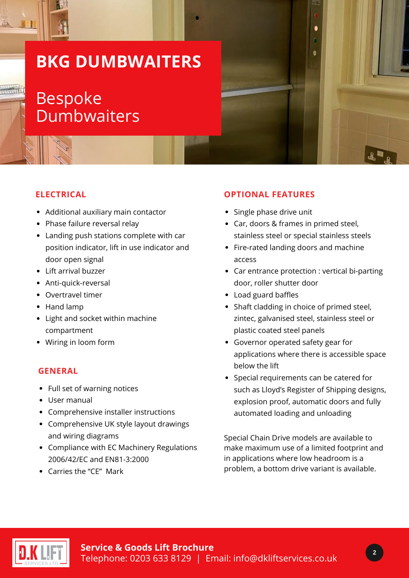## **BKG DUMBWAITERS**

## Bespoke **Dumbwaiters**

## **ELECTRICAL**

- Additional auxiliary main contactor
- Phase failure reversal relay
- Landing push stations complete with car position indicator, lift in use indicator and door open signal
- Lift arrival buzzer
- Anti-quick-reversal
- Overtravel timer
- Hand lamp
- Light and socket within machine compartment
- Wiring in loom form

### **GENERAL**

- Full set of warning notices
- User manual
- Comprehensive installer instructions
- Comprehensive UK style layout drawings and wiring diagrams
- Compliance with EC Machinery Regulations 2006/42/EC and EN81-3:2000
- Carries the "CE" Mark

## **OPTIONAL FEATURES**

- Single phase drive unit
- Car, doors & frames in primed steel, stainless steel or special stainless steels
- Fire-rated landing doors and machine access
- Car entrance protection : vertical bi-parting door, roller shutter door
- Load guard baffles
- Shaft cladding in choice of primed steel, zintec, galvanised steel, stainless steel or plastic coated steel panels
- Governor operated safety gear for applications where there is accessible space below the lift
- Special requirements can be catered for such as Lloyd's Register of Shipping designs, explosion proof, automatic doors and fully automated loading and unloading

Special Chain Drive models are available to make maximum use of a limited footprint and in applications where low headroom is a problem, a bottom drive variant is available.



2